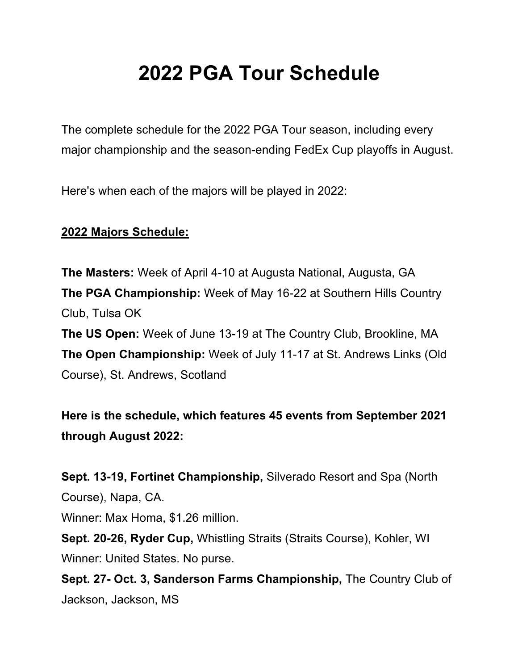# **2022 PGA Tour Schedule**

The complete schedule for the 2022 PGA Tour season, including every major championship and the season-ending FedEx Cup playoffs in August.

Here's when each of the majors will be played in 2022:

#### **2022 Majors Schedule:**

**The Masters:** Week of April 4-10 at Augusta National, Augusta, GA **The PGA Championship:** Week of May 16-22 at Southern Hills Country Club, Tulsa OK **The US Open:** Week of June 13-19 at The Country Club, Brookline, MA **The Open Championship:** Week of July 11-17 at St. Andrews Links (Old

Course), St. Andrews, Scotland

**Here is the schedule, which features 45 events from September 2021 through August 2022:**

**Sept. 13-19, Fortinet Championship,** Silverado Resort and Spa (North Course), Napa, CA.

Winner: Max Homa, \$1.26 million.

**Sept. 20-26, Ryder Cup,** Whistling Straits (Straits Course), Kohler, WI Winner: United States. No purse.

**Sept. 27- Oct. 3, Sanderson Farms Championship,** The Country Club of Jackson, Jackson, MS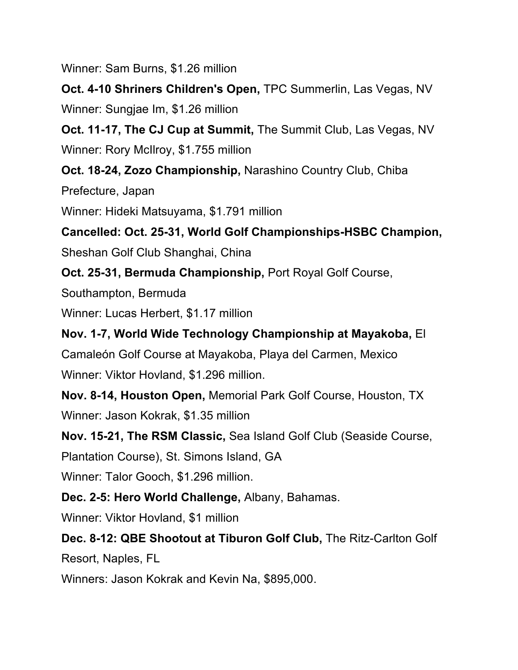Winner: Sam Burns, \$1.26 million

**Oct. 4-10 Shriners Children's Open,** TPC Summerlin, Las Vegas, NV Winner: Sungjae Im, \$1.26 million

**Oct. 11-17, The CJ Cup at Summit,** The Summit Club, Las Vegas, NV Winner: Rory McIlroy, \$1.755 million

**Oct. 18-24, Zozo Championship,** Narashino Country Club, Chiba

Prefecture, Japan

Winner: Hideki Matsuyama, \$1.791 million

**Cancelled: Oct. 25-31, World Golf Championships-HSBC Champion,** Sheshan Golf Club Shanghai, China

**Oct. 25-31, Bermuda Championship,** Port Royal Golf Course,

Southampton, Bermuda

Winner: Lucas Herbert, \$1.17 million

**Nov. 1-7, World Wide Technology Championship at Mayakoba,** El Camaleón Golf Course at Mayakoba, Playa del Carmen, Mexico Winner: Viktor Hovland, \$1.296 million.

**Nov. 8-14, Houston Open,** Memorial Park Golf Course, Houston, TX Winner: Jason Kokrak, \$1.35 million

**Nov. 15-21, The RSM Classic,** Sea Island Golf Club (Seaside Course,

Plantation Course), St. Simons Island, GA

Winner: Talor Gooch, \$1.296 million.

**Dec. 2-5: Hero World Challenge,** Albany, Bahamas.

Winner: Viktor Hovland, \$1 million

**Dec. 8-12: QBE Shootout at Tiburon Golf Club,** The Ritz-Carlton Golf

Resort, Naples, FL

Winners: Jason Kokrak and Kevin Na, \$895,000.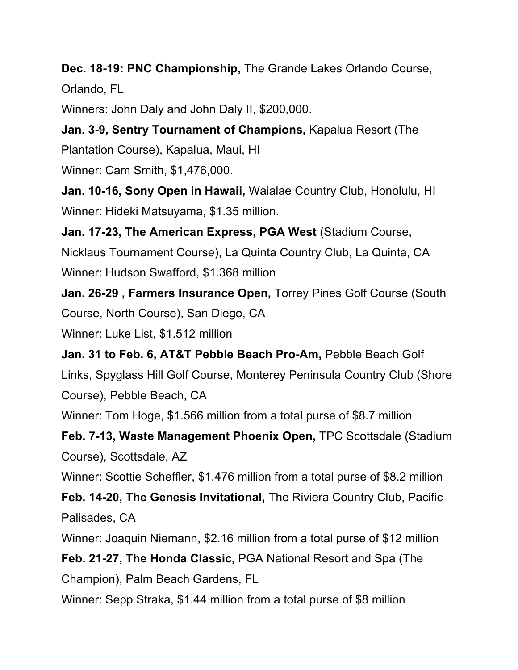**Dec. 18-19: PNC Championship,** The Grande Lakes Orlando Course, Orlando, FL

Winners: John Daly and John Daly II, \$200,000.

**Jan. 3-9, Sentry Tournament of Champions,** Kapalua Resort (The Plantation Course), Kapalua, Maui, HI

Winner: Cam Smith, \$1,476,000.

**Jan. 10-16, Sony Open in Hawaii,** Waialae Country Club, Honolulu, HI Winner: Hideki Matsuyama, \$1.35 million.

**Jan. 17-23, The American Express, PGA West** (Stadium Course, Nicklaus Tournament Course), La Quinta Country Club, La Quinta, CA Winner: Hudson Swafford, \$1.368 million

**Jan. 26-29 , Farmers Insurance Open,** Torrey Pines Golf Course (South Course, North Course), San Diego, CA

Winner: Luke List, \$1.512 million

**Jan. 31 to Feb. 6, AT&T Pebble Beach Pro-Am,** Pebble Beach Golf Links, Spyglass Hill Golf Course, Monterey Peninsula Country Club (Shore Course), Pebble Beach, CA

Winner: Tom Hoge, \$1.566 million from a total purse of \$8.7 million

**Feb. 7-13, Waste Management Phoenix Open,** TPC Scottsdale (Stadium Course), Scottsdale, AZ

Winner: Scottie Scheffler, \$1.476 million from a total purse of \$8.2 million

**Feb. 14-20, The Genesis Invitational,** The Riviera Country Club, Pacific Palisades, CA

Winner: Joaquin Niemann, \$2.16 million from a total purse of \$12 million

**Feb. 21-27, The Honda Classic,** PGA National Resort and Spa (The Champion), Palm Beach Gardens, FL

Winner: Sepp Straka, \$1.44 million from a total purse of \$8 million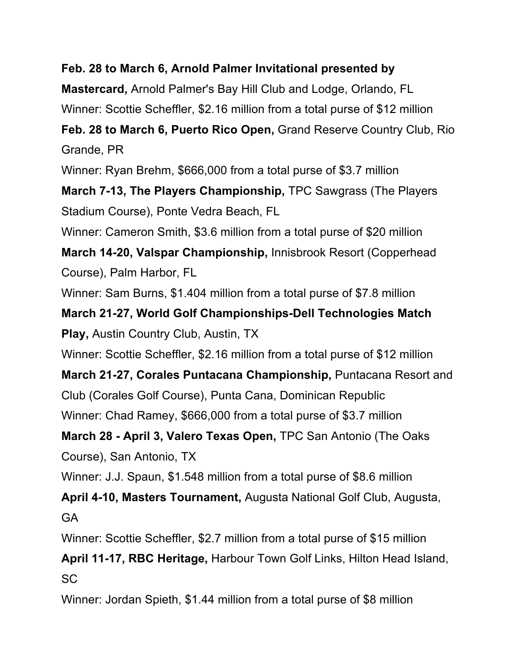#### **Feb. 28 to March 6, Arnold Palmer Invitational presented by**

**Mastercard,** Arnold Palmer's Bay Hill Club and Lodge, Orlando, FL

Winner: Scottie Scheffler, \$2.16 million from a total purse of \$12 million

**Feb. 28 to March 6, Puerto Rico Open,** Grand Reserve Country Club, Rio Grande, PR

Winner: Ryan Brehm, \$666,000 from a total purse of \$3.7 million

**March 7-13, The Players Championship,** TPC Sawgrass (The Players Stadium Course), Ponte Vedra Beach, FL

Winner: Cameron Smith, \$3.6 million from a total purse of \$20 million

**March 14-20, Valspar Championship,** Innisbrook Resort (Copperhead Course), Palm Harbor, FL

Winner: Sam Burns, \$1.404 million from a total purse of \$7.8 million

**March 21-27, World Golf Championships-Dell Technologies Match Play,** Austin Country Club, Austin, TX

Winner: Scottie Scheffler, \$2.16 million from a total purse of \$12 million

**March 21-27, Corales Puntacana Championship,** Puntacana Resort and Club (Corales Golf Course), Punta Cana, Dominican Republic Winner: Chad Ramey, \$666,000 from a total purse of \$3.7 million

**March 28 - April 3, Valero Texas Open,** TPC San Antonio (The Oaks Course), San Antonio, TX

Winner: J.J. Spaun, \$1.548 million from a total purse of \$8.6 million

**April 4-10, Masters Tournament,** Augusta National Golf Club, Augusta, GA

Winner: Scottie Scheffler, \$2.7 million from a total purse of \$15 million

**April 11-17, RBC Heritage,** Harbour Town Golf Links, Hilton Head Island, SC

Winner: Jordan Spieth, \$1.44 million from a total purse of \$8 million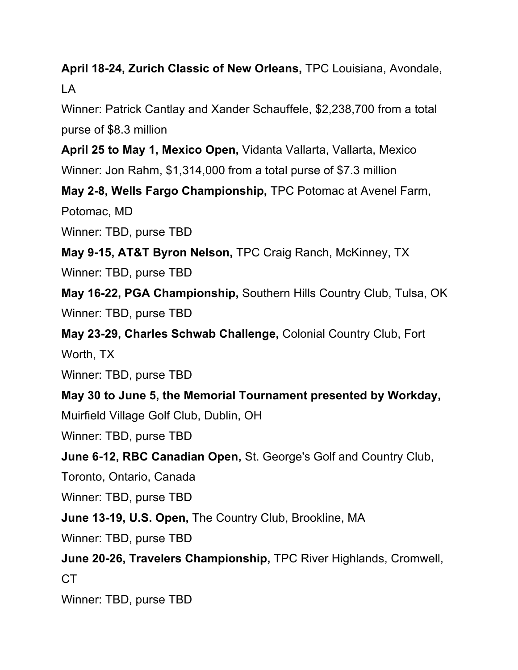**April 18-24, Zurich Classic of New Orleans,** TPC Louisiana, Avondale, LA

Winner: Patrick Cantlay and Xander Schauffele, \$2,238,700 from a total purse of \$8.3 million

**April 25 to May 1, Mexico Open,** Vidanta Vallarta, Vallarta, Mexico Winner: Jon Rahm, \$1,314,000 from a total purse of \$7.3 million

**May 2-8, Wells Fargo Championship,** TPC Potomac at Avenel Farm,

Potomac, MD

Winner: TBD, purse TBD

**May 9-15, AT&T Byron Nelson,** TPC Craig Ranch, McKinney, TX

Winner: TBD, purse TBD

**May 16-22, PGA Championship,** Southern Hills Country Club, Tulsa, OK Winner: TBD, purse TBD

**May 23-29, Charles Schwab Challenge,** Colonial Country Club, Fort Worth, TX

Winner: TBD, purse TBD

**May 30 to June 5, the Memorial Tournament presented by Workday,**

Muirfield Village Golf Club, Dublin, OH

Winner: TBD, purse TBD

**June 6-12, RBC Canadian Open,** St. George's Golf and Country Club,

Toronto, Ontario, Canada

Winner: TBD, purse TBD

**June 13-19, U.S. Open,** The Country Club, Brookline, MA

Winner: TBD, purse TBD

**June 20-26, Travelers Championship,** TPC River Highlands, Cromwell, CT

Winner: TBD, purse TBD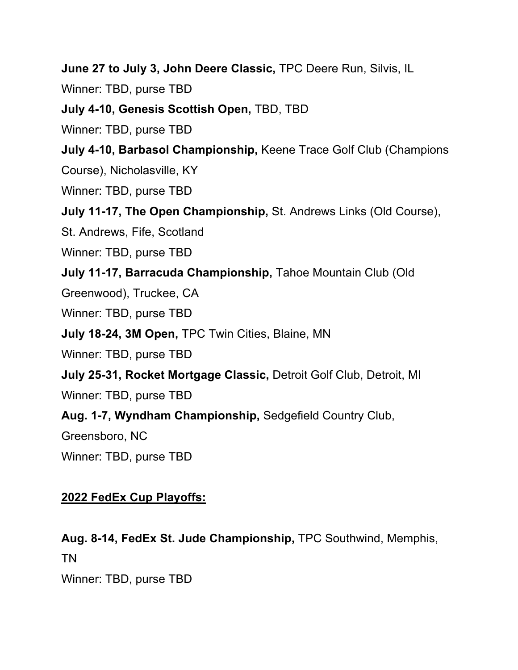**June 27 to July 3, John Deere Classic,** TPC Deere Run, Silvis, IL

Winner: TBD, purse TBD

**July 4-10, Genesis Scottish Open,** TBD, TBD

Winner: TBD, purse TBD

**July 4-10, Barbasol Championship,** Keene Trace Golf Club (Champions

Course), Nicholasville, KY

Winner: TBD, purse TBD

**July 11-17, The Open Championship,** St. Andrews Links (Old Course),

St. Andrews, Fife, Scotland

Winner: TBD, purse TBD

**July 11-17, Barracuda Championship,** Tahoe Mountain Club (Old

Greenwood), Truckee, CA

Winner: TBD, purse TBD

**July 18-24, 3M Open,** TPC Twin Cities, Blaine, MN

Winner: TBD, purse TBD

**July 25-31, Rocket Mortgage Classic,** Detroit Golf Club, Detroit, MI

Winner: TBD, purse TBD

**Aug. 1-7, Wyndham Championship,** Sedgefield Country Club,

Greensboro, NC

Winner: TBD, purse TBD

### **2022 FedEx Cup Playoffs:**

**Aug. 8-14, FedEx St. Jude Championship,** TPC Southwind, Memphis, TN

Winner: TBD, purse TBD